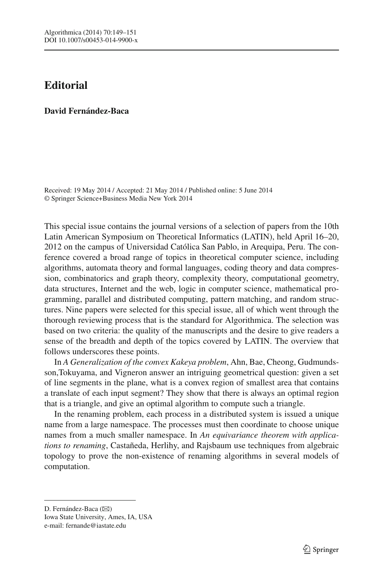## **Editorial**

## **David Fernández-Baca**

Received: 19 May 2014 / Accepted: 21 May 2014 / Published online: 5 June 2014 © Springer Science+Business Media New York 2014

This special issue contains the journal versions of a selection of papers from the 10th Latin American Symposium on Theoretical Informatics (LATIN), held April 16–20, 2012 on the campus of Universidad Católica San Pablo, in Arequipa, Peru. The conference covered a broad range of topics in theoretical computer science, including algorithms, automata theory and formal languages, coding theory and data compression, combinatorics and graph theory, complexity theory, computational geometry, data structures, Internet and the web, logic in computer science, mathematical programming, parallel and distributed computing, pattern matching, and random structures. Nine papers were selected for this special issue, all of which went through the thorough reviewing process that is the standard for Algorithmica. The selection was based on two criteria: the quality of the manuscripts and the desire to give readers a sense of the breadth and depth of the topics covered by LATIN. The overview that follows underscores these points.

In *A Generalization of the convex Kakeya problem*, Ahn, Bae, Cheong, Gudmundsson,Tokuyama, and Vigneron answer an intriguing geometrical question: given a set of line segments in the plane, what is a convex region of smallest area that contains a translate of each input segment? They show that there is always an optimal region that is a triangle, and give an optimal algorithm to compute such a triangle.

In the renaming problem, each process in a distributed system is issued a unique name from a large namespace. The processes must then coordinate to choose unique names from a much smaller namespace. In *An equivariance theorem with applications to renaming*, Castañeda, Herlihy, and Rajsbaum use techniques from algebraic topology to prove the non-existence of renaming algorithms in several models of computation.

D. Fernández-Baca (B) Iowa State University, Ames, IA, USA e-mail: fernande@iastate.edu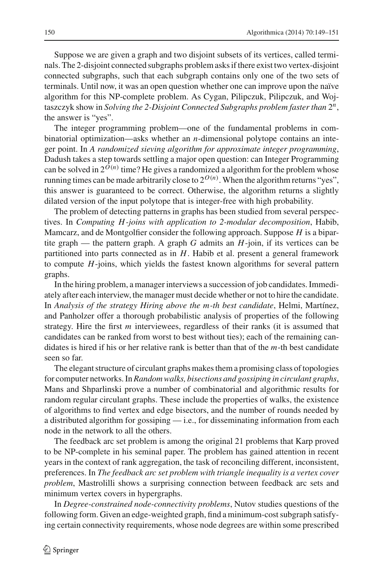Suppose we are given a graph and two disjoint subsets of its vertices, called terminals. The 2-disjoint connected subgraphs problem asks if there exist two vertex-disjoint connected subgraphs, such that each subgraph contains only one of the two sets of terminals. Until now, it was an open question whether one can improve upon the naïve algorithm for this NP-complete problem. As Cygan, Pilipczuk, Pilipczuk, and Wojtaszczyk show in *Solving the 2-Disjoint Connected Subgraphs problem faster than* 2*n*, the answer is "yes".

The integer programming problem—one of the fundamental problems in combinatorial optimization—asks whether an *n*-dimensional polytope contains an integer point. In *A randomized sieving algorithm for approximate integer programming*, Dadush takes a step towards settling a major open question: can Integer Programming can be solved in  $2^{O(n)}$  time? He gives a randomized a algorithm for the problem whose running times can be made arbitrarily close to  $2^{O(n)}$ . When the algorithm returns "yes", this answer is guaranteed to be correct. Otherwise, the algorithm returns a slightly dilated version of the input polytope that is integer-free with high probability.

The problem of detecting patterns in graphs has been studied from several perspectives. In *Computing H-joins with application to 2-modular decomposition*, Habib, Mamcarz, and de Montgolfier consider the following approach. Suppose *H* is a bipartite graph — the pattern graph. A graph *G* admits an *H*-join, if its vertices can be partitioned into parts connected as in *H*. Habib et al. present a general framework to compute *H*-joins, which yields the fastest known algorithms for several pattern graphs.

In the hiring problem, a manager interviews a succession of job candidates. Immediately after each interview, the manager must decide whether or not to hire the candidate. In *Analysis of the strategy Hiring above the m-th best candidate*, Helmi, Martínez, and Panholzer offer a thorough probabilistic analysis of properties of the following strategy. Hire the first *m* interviewees, regardless of their ranks (it is assumed that candidates can be ranked from worst to best without ties); each of the remaining candidates is hired if his or her relative rank is better than that of the *m*-th best candidate seen so far.

The elegant structure of circulant graphs makes them a promising class of topologies for computer networks. In*Random walks, bisections and gossiping in circulant graphs*, Mans and Shparlinski prove a number of combinatorial and algorithmic results for random regular circulant graphs. These include the properties of walks, the existence of algorithms to find vertex and edge bisectors, and the number of rounds needed by a distributed algorithm for gossiping — i.e., for disseminating information from each node in the network to all the others.

The feedback arc set problem is among the original 21 problems that Karp proved to be NP-complete in his seminal paper. The problem has gained attention in recent years in the context of rank aggregation, the task of reconciling different, inconsistent, preferences. In *The feedback arc set problem with triangle inequality is a vertex cover problem*, Mastrolilli shows a surprising connection between feedback arc sets and minimum vertex covers in hypergraphs.

In *Degree-constrained node-connectivity problems*, Nutov studies questions of the following form. Given an edge-weighted graph, find a minimum-cost subgraph satisfying certain connectivity requirements, whose node degrees are within some prescribed